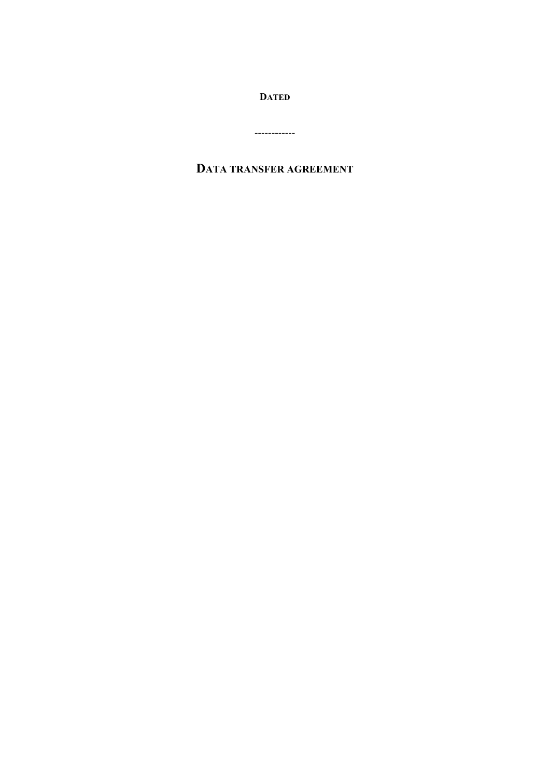**DATED**

------------

# **DATA TRANSFER AGREEMENT**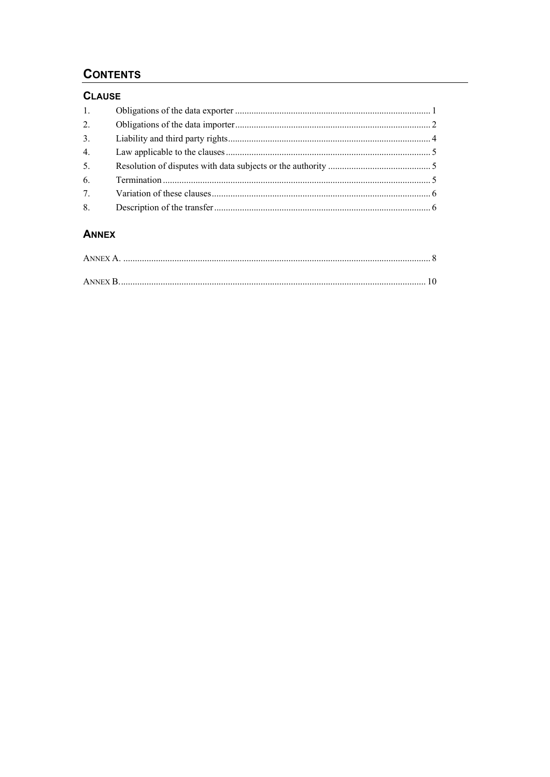# **CONTENTS**

# **CLAUSE**

| 1. |  |
|----|--|
| 2. |  |
| 3. |  |
| 4. |  |
| 5. |  |
| 6. |  |
| 7. |  |
| 8. |  |

# **ANNEX**

| ANNEX B. |  |
|----------|--|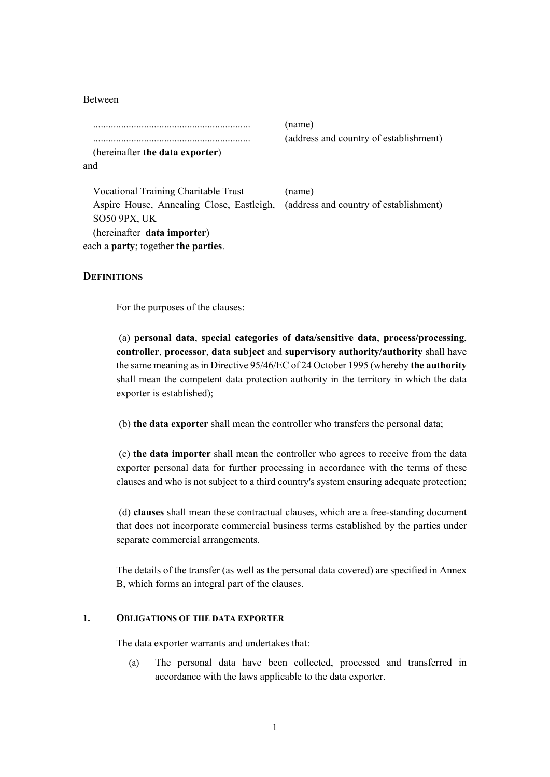Between

.............................................................. (name)

(hereinafter **the data exporter**) and

.............................................................. (address and country of establishment)

Vocational Training Charitable Trust (name) Aspire House, Annealing Close, Eastleigh, SO50 9PX, UK (address and country of establishment) (hereinafter **data importer**) each a **party**; together **the parties**.

## **DEFINITIONS**

For the purposes of the clauses:

 (a) **personal data**, **special categories of data/sensitive data**, **process/processing**, **controller**, **processor**, **data subject** and **supervisory authority/authority** shall have the same meaning as in Directive 95/46/EC of 24 October 1995 (whereby **the authority** shall mean the competent data protection authority in the territory in which the data exporter is established);

(b) **the data exporter** shall mean the controller who transfers the personal data;

 (c) **the data importer** shall mean the controller who agrees to receive from the data exporter personal data for further processing in accordance with the terms of these clauses and who is not subject to a third country's system ensuring adequate protection;

 (d) **clauses** shall mean these contractual clauses, which are a free-standing document that does not incorporate commercial business terms established by the parties under separate commercial arrangements.

The details of the transfer (as well as the personal data covered) are specified in Annex B, which forms an integral part of the clauses.

### **1. OBLIGATIONS OF THE DATA EXPORTER**

The data exporter warrants and undertakes that:

(a) The personal data have been collected, processed and transferred in accordance with the laws applicable to the data exporter.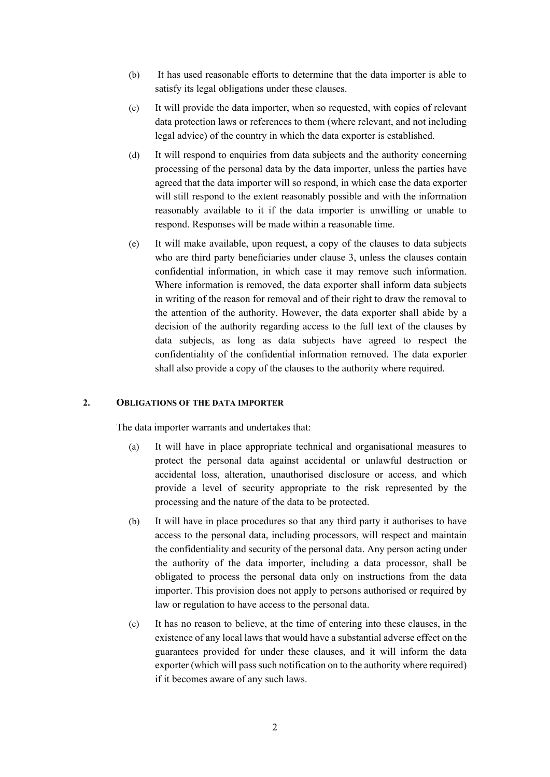- (b) It has used reasonable efforts to determine that the data importer is able to satisfy its legal obligations under these clauses.
- (c) It will provide the data importer, when so requested, with copies of relevant data protection laws or references to them (where relevant, and not including legal advice) of the country in which the data exporter is established.
- (d) It will respond to enquiries from data subjects and the authority concerning processing of the personal data by the data importer, unless the parties have agreed that the data importer will so respond, in which case the data exporter will still respond to the extent reasonably possible and with the information reasonably available to it if the data importer is unwilling or unable to respond. Responses will be made within a reasonable time.
- (e) It will make available, upon request, a copy of the clauses to data subjects who are third party beneficiaries under clause 3, unless the clauses contain confidential information, in which case it may remove such information. Where information is removed, the data exporter shall inform data subjects in writing of the reason for removal and of their right to draw the removal to the attention of the authority. However, the data exporter shall abide by a decision of the authority regarding access to the full text of the clauses by data subjects, as long as data subjects have agreed to respect the confidentiality of the confidential information removed. The data exporter shall also provide a copy of the clauses to the authority where required.

#### **2. OBLIGATIONS OF THE DATA IMPORTER**

The data importer warrants and undertakes that:

- (a) It will have in place appropriate technical and organisational measures to protect the personal data against accidental or unlawful destruction or accidental loss, alteration, unauthorised disclosure or access, and which provide a level of security appropriate to the risk represented by the processing and the nature of the data to be protected.
- (b) It will have in place procedures so that any third party it authorises to have access to the personal data, including processors, will respect and maintain the confidentiality and security of the personal data. Any person acting under the authority of the data importer, including a data processor, shall be obligated to process the personal data only on instructions from the data importer. This provision does not apply to persons authorised or required by law or regulation to have access to the personal data.
- (c) It has no reason to believe, at the time of entering into these clauses, in the existence of any local laws that would have a substantial adverse effect on the guarantees provided for under these clauses, and it will inform the data exporter (which will pass such notification on to the authority where required) if it becomes aware of any such laws.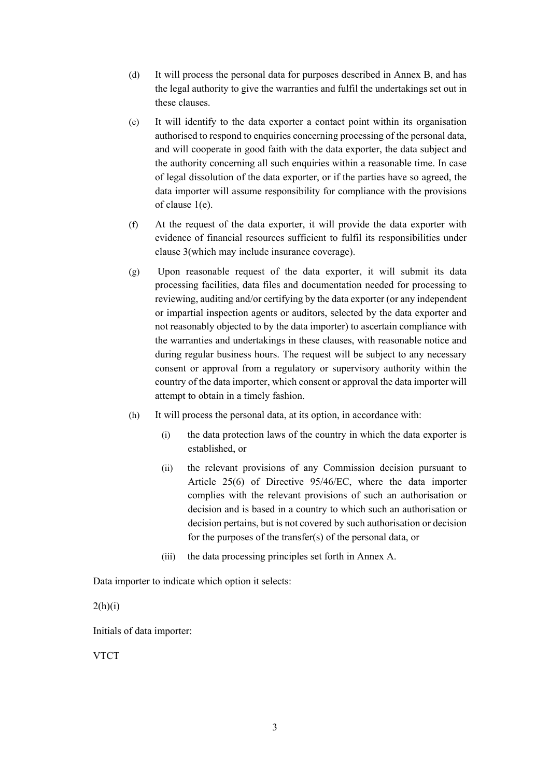- (d) It will process the personal data for purposes described in Annex B, and has the legal authority to give the warranties and fulfil the undertakings set out in these clauses.
- (e) It will identify to the data exporter a contact point within its organisation authorised to respond to enquiries concerning processing of the personal data, and will cooperate in good faith with the data exporter, the data subject and the authority concerning all such enquiries within a reasonable time. In case of legal dissolution of the data exporter, or if the parties have so agreed, the data importer will assume responsibility for compliance with the provisions of clause 1(e).
- (f) At the request of the data exporter, it will provide the data exporter with evidence of financial resources sufficient to fulfil its responsibilities under clause 3(which may include insurance coverage).
- (g) Upon reasonable request of the data exporter, it will submit its data processing facilities, data files and documentation needed for processing to reviewing, auditing and/or certifying by the data exporter (or any independent or impartial inspection agents or auditors, selected by the data exporter and not reasonably objected to by the data importer) to ascertain compliance with the warranties and undertakings in these clauses, with reasonable notice and during regular business hours. The request will be subject to any necessary consent or approval from a regulatory or supervisory authority within the country of the data importer, which consent or approval the data importer will attempt to obtain in a timely fashion.
- (h) It will process the personal data, at its option, in accordance with:
	- (i) the data protection laws of the country in which the data exporter is established, or
	- (ii) the relevant provisions of any Commission decision pursuant to Article 25(6) of Directive 95/46/EC, where the data importer complies with the relevant provisions of such an authorisation or decision and is based in a country to which such an authorisation or decision pertains, but is not covered by such authorisation or decision for the purposes of the transfer(s) of the personal data, or
	- (iii) the data processing principles set forth in Annex A.

Data importer to indicate which option it selects:

 $2(h)(i)$ 

Initials of data importer:

VTCT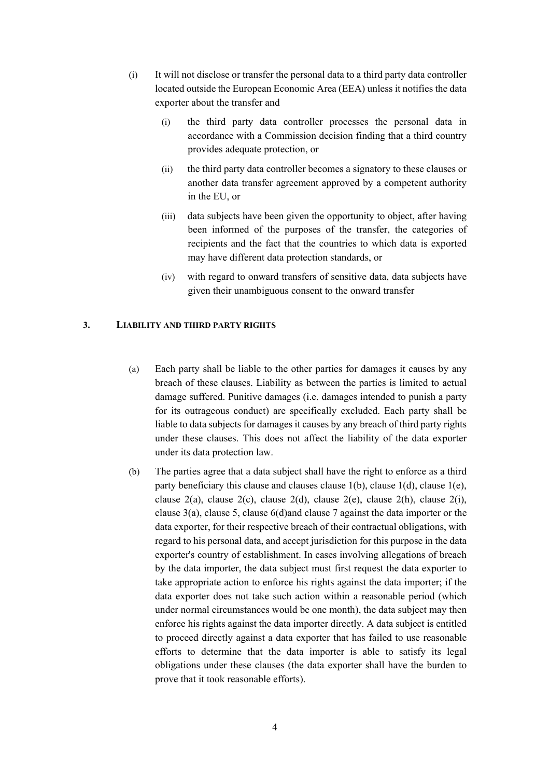- (i) It will not disclose or transfer the personal data to a third party data controller located outside the European Economic Area (EEA) unless it notifies the data exporter about the transfer and
	- (i) the third party data controller processes the personal data in accordance with a Commission decision finding that a third country provides adequate protection, or
	- (ii) the third party data controller becomes a signatory to these clauses or another data transfer agreement approved by a competent authority in the EU, or
	- (iii) data subjects have been given the opportunity to object, after having been informed of the purposes of the transfer, the categories of recipients and the fact that the countries to which data is exported may have different data protection standards, or
	- (iv) with regard to onward transfers of sensitive data, data subjects have given their unambiguous consent to the onward transfer

### **3. LIABILITY AND THIRD PARTY RIGHTS**

- (a) Each party shall be liable to the other parties for damages it causes by any breach of these clauses. Liability as between the parties is limited to actual damage suffered. Punitive damages (i.e. damages intended to punish a party for its outrageous conduct) are specifically excluded. Each party shall be liable to data subjects for damages it causes by any breach of third party rights under these clauses. This does not affect the liability of the data exporter under its data protection law.
- (b) The parties agree that a data subject shall have the right to enforce as a third party beneficiary this clause and clauses clause 1(b), clause 1(d), clause 1(e), clause  $2(a)$ , clause  $2(c)$ , clause  $2(d)$ , clause  $2(e)$ , clause  $2(h)$ , clause  $2(i)$ , clause 3(a), clause 5, clause 6(d)and clause 7 against the data importer or the data exporter, for their respective breach of their contractual obligations, with regard to his personal data, and accept jurisdiction for this purpose in the data exporter's country of establishment. In cases involving allegations of breach by the data importer, the data subject must first request the data exporter to take appropriate action to enforce his rights against the data importer; if the data exporter does not take such action within a reasonable period (which under normal circumstances would be one month), the data subject may then enforce his rights against the data importer directly. A data subject is entitled to proceed directly against a data exporter that has failed to use reasonable efforts to determine that the data importer is able to satisfy its legal obligations under these clauses (the data exporter shall have the burden to prove that it took reasonable efforts).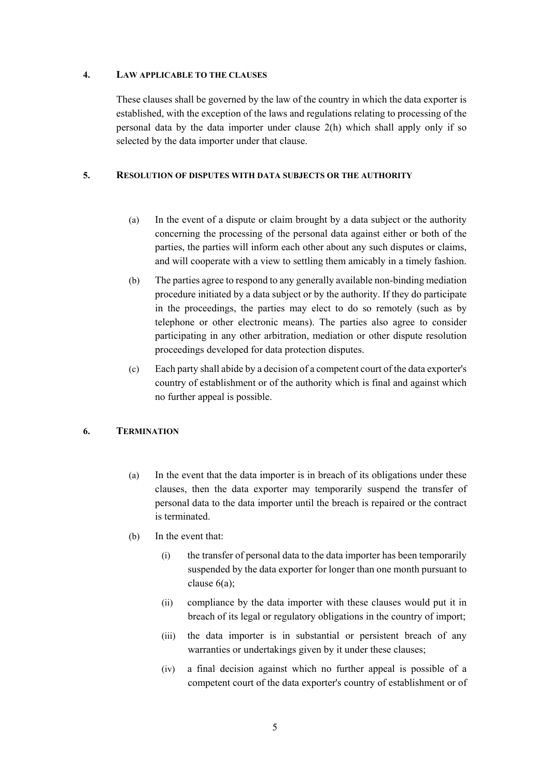## **4. LAW APPLICABLE TO THE CLAUSES**

These clauses shall be governed by the law of the country in which the data exporter is established, with the exception of the laws and regulations relating to processing of the personal data by the data importer under clause 2(h) which shall apply only if so selected by the data importer under that clause.

## **5. RESOLUTION OF DISPUTES WITH DATA SUBJECTS OR THE AUTHORITY**

- (a) In the event of a dispute or claim brought by a data subject or the authority concerning the processing of the personal data against either or both of the parties, the parties will inform each other about any such disputes or claims, and will cooperate with a view to settling them amicably in a timely fashion.
- (b) The parties agree to respond to any generally available non-binding mediation procedure initiated by a data subject or by the authority. If they do participate in the proceedings, the parties may elect to do so remotely (such as by telephone or other electronic means). The parties also agree to consider participating in any other arbitration, mediation or other dispute resolution proceedings developed for data protection disputes.
- (c) Each party shall abide by a decision of a competent court of the data exporter's country of establishment or of the authority which is final and against which no further appeal is possible.

# **6. TERMINATION**

- (a) In the event that the data importer is in breach of its obligations under these clauses, then the data exporter may temporarily suspend the transfer of personal data to the data importer until the breach is repaired or the contract is terminated.
- (b) In the event that:
	- (i) the transfer of personal data to the data importer has been temporarily suspended by the data exporter for longer than one month pursuant to clause 6(a);
	- (ii) compliance by the data importer with these clauses would put it in breach of its legal or regulatory obligations in the country of import;
	- (iii) the data importer is in substantial or persistent breach of any warranties or undertakings given by it under these clauses;
	- (iv) a final decision against which no further appeal is possible of a competent court of the data exporter's country of establishment or of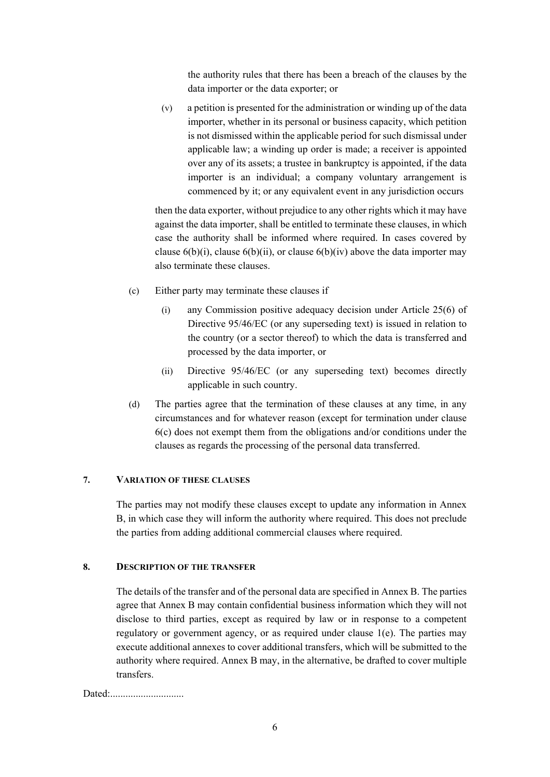the authority rules that there has been a breach of the clauses by the data importer or the data exporter; or

(v) a petition is presented for the administration or winding up of the data importer, whether in its personal or business capacity, which petition is not dismissed within the applicable period for such dismissal under applicable law; a winding up order is made; a receiver is appointed over any of its assets; a trustee in bankruptcy is appointed, if the data importer is an individual; a company voluntary arrangement is commenced by it; or any equivalent event in any jurisdiction occurs

then the data exporter, without prejudice to any other rights which it may have against the data importer, shall be entitled to terminate these clauses, in which case the authority shall be informed where required. In cases covered by clause  $6(b)(i)$ , clause  $6(b)(ii)$ , or clause  $6(b)(iv)$  above the data importer may also terminate these clauses.

- (c) Either party may terminate these clauses if
	- (i) any Commission positive adequacy decision under Article 25(6) of Directive 95/46/EC (or any superseding text) is issued in relation to the country (or a sector thereof) to which the data is transferred and processed by the data importer, or
	- (ii) Directive 95/46/EC (or any superseding text) becomes directly applicable in such country.
- (d) The parties agree that the termination of these clauses at any time, in any circumstances and for whatever reason (except for termination under clause 6(c) does not exempt them from the obligations and/or conditions under the clauses as regards the processing of the personal data transferred.

# **7. VARIATION OF THESE CLAUSES**

The parties may not modify these clauses except to update any information in Annex B, in which case they will inform the authority where required. This does not preclude the parties from adding additional commercial clauses where required.

## **8. DESCRIPTION OF THE TRANSFER**

The details of the transfer and of the personal data are specified in Annex B. The parties agree that Annex B may contain confidential business information which they will not disclose to third parties, except as required by law or in response to a competent regulatory or government agency, or as required under clause 1(e). The parties may execute additional annexes to cover additional transfers, which will be submitted to the authority where required. Annex B may, in the alternative, be drafted to cover multiple transfers.

Dated:.............................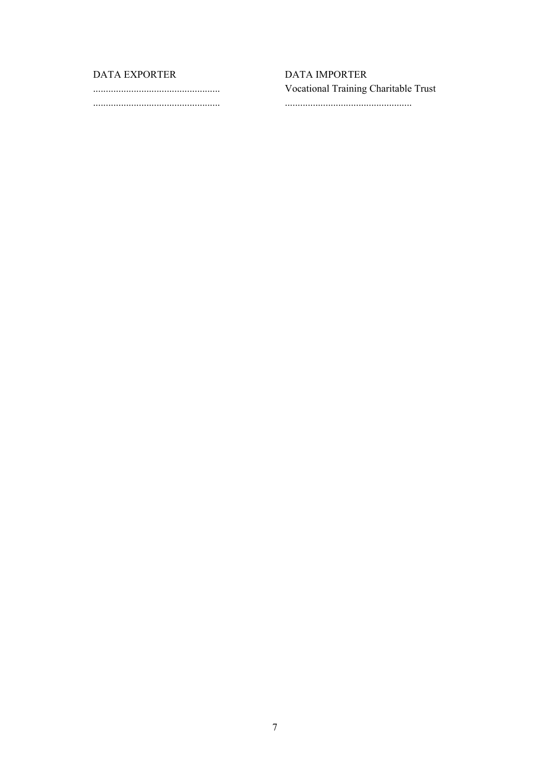# DATA EXPORTER

 **DATA IMPORTER** Vocational Training Charitable Trust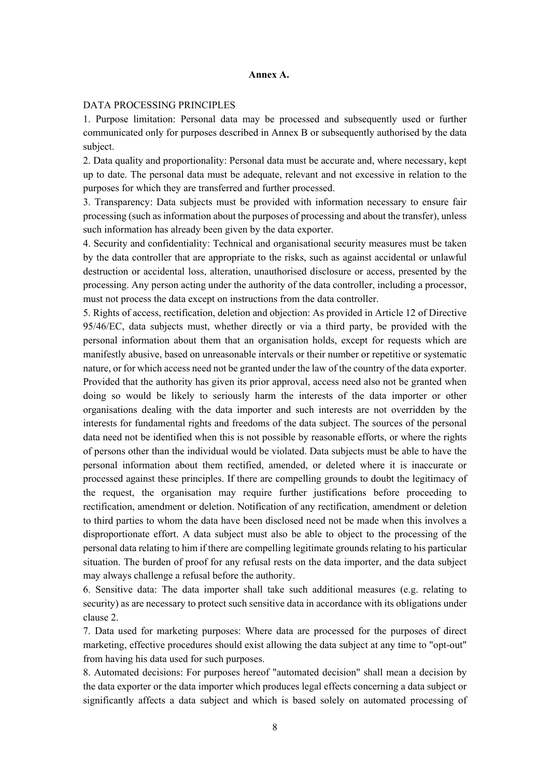#### **Annex A.**

### DATA PROCESSING PRINCIPLES

1. Purpose limitation: Personal data may be processed and subsequently used or further communicated only for purposes described in Annex B or subsequently authorised by the data subject.

2. Data quality and proportionality: Personal data must be accurate and, where necessary, kept up to date. The personal data must be adequate, relevant and not excessive in relation to the purposes for which they are transferred and further processed.

3. Transparency: Data subjects must be provided with information necessary to ensure fair processing (such as information about the purposes of processing and about the transfer), unless such information has already been given by the data exporter.

4. Security and confidentiality: Technical and organisational security measures must be taken by the data controller that are appropriate to the risks, such as against accidental or unlawful destruction or accidental loss, alteration, unauthorised disclosure or access, presented by the processing. Any person acting under the authority of the data controller, including a processor, must not process the data except on instructions from the data controller.

5. Rights of access, rectification, deletion and objection: As provided in Article 12 of Directive 95/46/EC, data subjects must, whether directly or via a third party, be provided with the personal information about them that an organisation holds, except for requests which are manifestly abusive, based on unreasonable intervals or their number or repetitive or systematic nature, or for which access need not be granted under the law of the country of the data exporter. Provided that the authority has given its prior approval, access need also not be granted when doing so would be likely to seriously harm the interests of the data importer or other organisations dealing with the data importer and such interests are not overridden by the interests for fundamental rights and freedoms of the data subject. The sources of the personal data need not be identified when this is not possible by reasonable efforts, or where the rights of persons other than the individual would be violated. Data subjects must be able to have the personal information about them rectified, amended, or deleted where it is inaccurate or processed against these principles. If there are compelling grounds to doubt the legitimacy of the request, the organisation may require further justifications before proceeding to rectification, amendment or deletion. Notification of any rectification, amendment or deletion to third parties to whom the data have been disclosed need not be made when this involves a disproportionate effort. A data subject must also be able to object to the processing of the personal data relating to him if there are compelling legitimate grounds relating to his particular situation. The burden of proof for any refusal rests on the data importer, and the data subject may always challenge a refusal before the authority.

6. Sensitive data: The data importer shall take such additional measures (e.g. relating to security) as are necessary to protect such sensitive data in accordance with its obligations under clause 2.

7. Data used for marketing purposes: Where data are processed for the purposes of direct marketing, effective procedures should exist allowing the data subject at any time to "opt-out" from having his data used for such purposes.

8. Automated decisions: For purposes hereof "automated decision" shall mean a decision by the data exporter or the data importer which produces legal effects concerning a data subject or significantly affects a data subject and which is based solely on automated processing of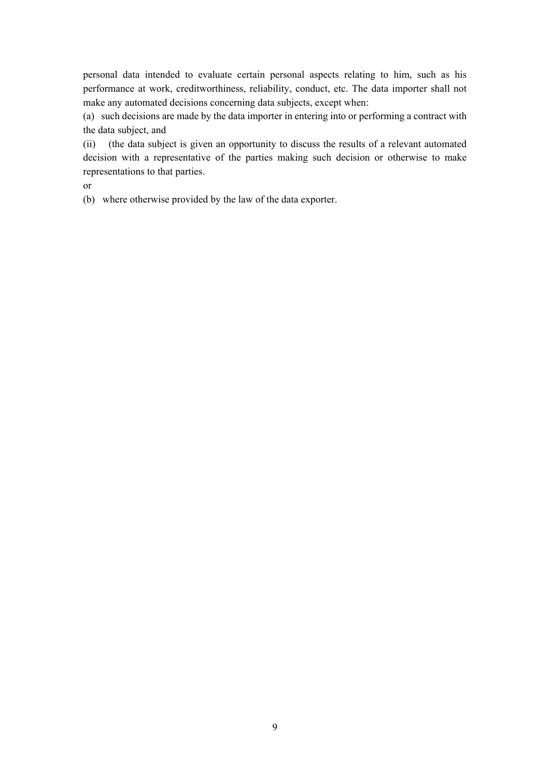personal data intended to evaluate certain personal aspects relating to him, such as his performance at work, creditworthiness, reliability, conduct, etc. The data importer shall not make any automated decisions concerning data subjects, except when:

(a) such decisions are made by the data importer in entering into or performing a contract with the data subject, and

(ii) (the data subject is given an opportunity to discuss the results of a relevant automated decision with a representative of the parties making such decision or otherwise to make representations to that parties.

or

(b) where otherwise provided by the law of the data exporter.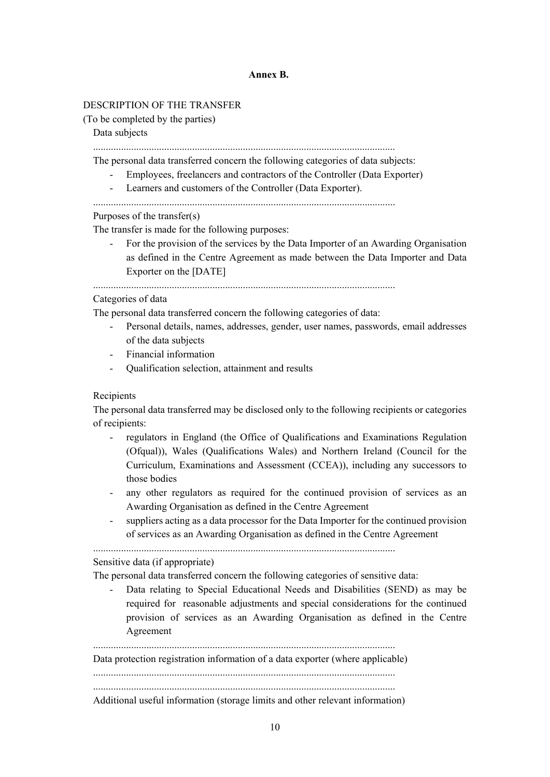### **Annex B.**

## DESCRIPTION OF THE TRANSFER

(To be completed by the parties)

#### Data subjects

.......................................................................................................................

The personal data transferred concern the following categories of data subjects:

- Employees, freelancers and contractors of the Controller (Data Exporter)
	- Learners and customers of the Controller (Data Exporter).
- .......................................................................................................................

#### Purposes of the transfer(s)

The transfer is made for the following purposes:

For the provision of the services by the Data Importer of an Awarding Organisation as defined in the Centre Agreement as made between the Data Importer and Data Exporter on the [DATE]

.......................................................................................................................

# Categories of data

The personal data transferred concern the following categories of data:

- Personal details, names, addresses, gender, user names, passwords, email addresses of the data subjects
- Financial information
- Qualification selection, attainment and results

#### Recipients

The personal data transferred may be disclosed only to the following recipients or categories of recipients:

- regulators in England (the Office of Qualifications and Examinations Regulation (Ofqual)), Wales (Qualifications Wales) and Northern Ireland (Council for the Curriculum, Examinations and Assessment (CCEA)), including any successors to those bodies
- any other regulators as required for the continued provision of services as an Awarding Organisation as defined in the Centre Agreement
- suppliers acting as a data processor for the Data Importer for the continued provision of services as an Awarding Organisation as defined in the Centre Agreement

.......................................................................................................................

#### Sensitive data (if appropriate)

The personal data transferred concern the following categories of sensitive data:

Data relating to Special Educational Needs and Disabilities (SEND) as may be required for reasonable adjustments and special considerations for the continued provision of services as an Awarding Organisation as defined in the Centre Agreement

....................................................................................................................... Data protection registration information of a data exporter (where applicable) ....................................................................................................................... .......................................................................................................................

Additional useful information (storage limits and other relevant information)